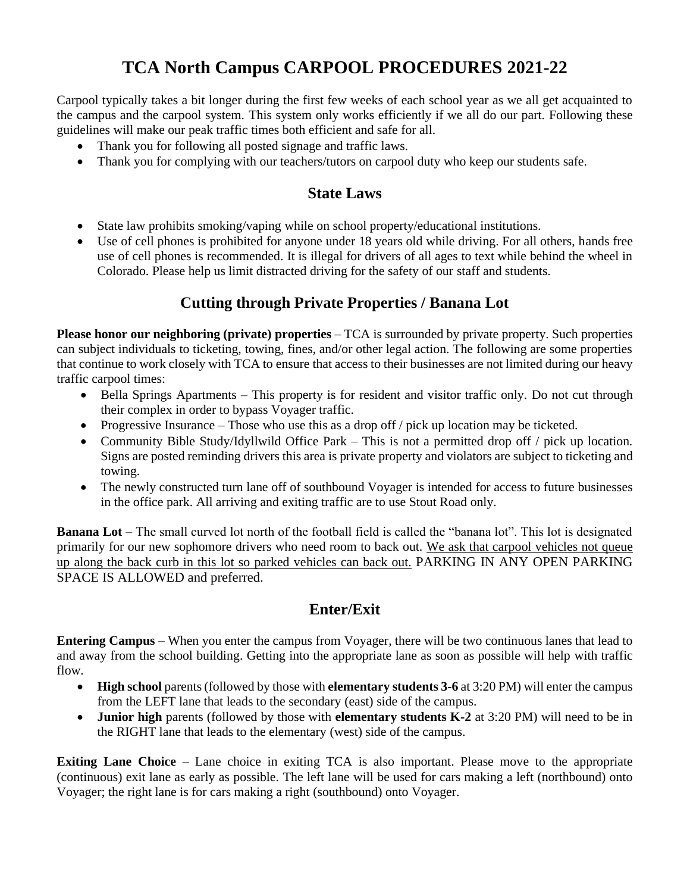# **TCA North Campus CARPOOL PROCEDURES 2021-22**

Carpool typically takes a bit longer during the first few weeks of each school year as we all get acquainted to the campus and the carpool system. This system only works efficiently if we all do our part. Following these guidelines will make our peak traffic times both efficient and safe for all.

- Thank you for following all posted signage and traffic laws.
- Thank you for complying with our teachers/tutors on carpool duty who keep our students safe.

#### **State Laws**

- State law prohibits smoking/vaping while on school property/educational institutions.
- Use of cell phones is prohibited for anyone under 18 years old while driving. For all others, hands free use of cell phones is recommended. It is illegal for drivers of all ages to text while behind the wheel in Colorado. Please help us limit distracted driving for the safety of our staff and students.

# **Cutting through Private Properties / Banana Lot**

**Please honor our neighboring (private) properties** – TCA is surrounded by private property. Such properties can subject individuals to ticketing, towing, fines, and/or other legal action. The following are some properties that continue to work closely with TCA to ensure that access to their businesses are not limited during our heavy traffic carpool times:

- Bella Springs Apartments This property is for resident and visitor traffic only. Do not cut through their complex in order to bypass Voyager traffic.
- Progressive Insurance Those who use this as a drop off / pick up location may be ticketed.
- Community Bible Study/Idyllwild Office Park This is not a permitted drop off / pick up location. Signs are posted reminding drivers this area is private property and violators are subject to ticketing and towing.
- The newly constructed turn lane off of southbound Voyager is intended for access to future businesses in the office park. All arriving and exiting traffic are to use Stout Road only.

**Banana Lot** – The small curved lot north of the football field is called the "banana lot". This lot is designated primarily for our new sophomore drivers who need room to back out. We ask that carpool vehicles not queue up along the back curb in this lot so parked vehicles can back out. PARKING IN ANY OPEN PARKING SPACE IS ALLOWED and preferred.

#### **Enter/Exit**

**Entering Campus** – When you enter the campus from Voyager, there will be two continuous lanes that lead to and away from the school building. Getting into the appropriate lane as soon as possible will help with traffic flow.

- **High school** parents (followed by those with **elementary students 3-6** at 3:20 PM) will enter the campus from the LEFT lane that leads to the secondary (east) side of the campus.
- **Junior high** parents (followed by those with **elementary students K-2** at 3:20 PM) will need to be in the RIGHT lane that leads to the elementary (west) side of the campus.

**Exiting Lane Choice** – Lane choice in exiting TCA is also important. Please move to the appropriate (continuous) exit lane as early as possible. The left lane will be used for cars making a left (northbound) onto Voyager; the right lane is for cars making a right (southbound) onto Voyager.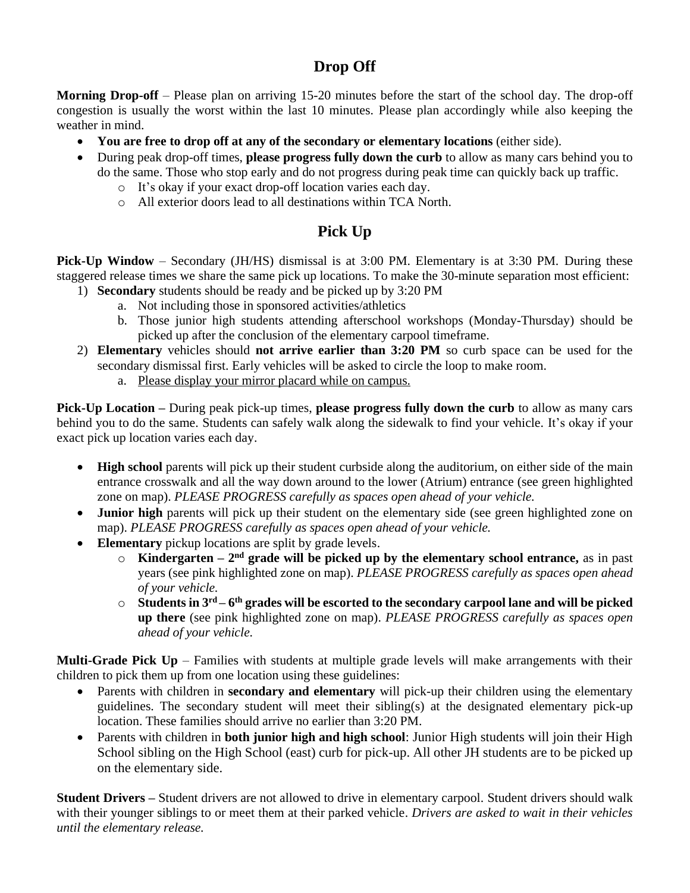## **Drop Off**

**Morning Drop-off** – Please plan on arriving 15-20 minutes before the start of the school day. The drop-off congestion is usually the worst within the last 10 minutes. Please plan accordingly while also keeping the weather in mind.

- **You are free to drop off at any of the secondary or elementary locations** (either side).
- During peak drop-off times, **please progress fully down the curb** to allow as many cars behind you to do the same. Those who stop early and do not progress during peak time can quickly back up traffic.
	- o It's okay if your exact drop-off location varies each day.
	- o All exterior doors lead to all destinations within TCA North.

# **Pick Up**

**Pick-Up Window** – Secondary (JH/HS) dismissal is at 3:00 PM. Elementary is at 3:30 PM. During these staggered release times we share the same pick up locations. To make the 30-minute separation most efficient:

- 1) **Secondary** students should be ready and be picked up by 3:20 PM
	- a. Not including those in sponsored activities/athletics
	- b. Those junior high students attending afterschool workshops (Monday-Thursday) should be picked up after the conclusion of the elementary carpool timeframe.
- 2) **Elementary** vehicles should **not arrive earlier than 3:20 PM** so curb space can be used for the secondary dismissal first. Early vehicles will be asked to circle the loop to make room.
	- a. Please display your mirror placard while on campus.

**Pick-Up Location –** During peak pick-up times, **please progress fully down the curb** to allow as many cars behind you to do the same. Students can safely walk along the sidewalk to find your vehicle. It's okay if your exact pick up location varies each day.

- **High school** parents will pick up their student curbside along the auditorium, on either side of the main entrance crosswalk and all the way down around to the lower (Atrium) entrance (see green highlighted zone on map). *PLEASE PROGRESS carefully as spaces open ahead of your vehicle.*
- **Junior high** parents will pick up their student on the elementary side (see green highlighted zone on map). *PLEASE PROGRESS carefully as spaces open ahead of your vehicle.*
- **Elementary** pickup locations are split by grade levels.
	- $\circ$  **Kindergarten**  $2<sup>nd</sup>$  grade will be picked up by the elementary school entrance, as in past years (see pink highlighted zone on map). *PLEASE PROGRESS carefully as spaces open ahead of your vehicle.*
	- o **Students in 3rd – 6 th grades will be escorted to the secondary carpool lane and will be picked up there** (see pink highlighted zone on map). *PLEASE PROGRESS carefully as spaces open ahead of your vehicle.*

**Multi-Grade Pick Up** – Families with students at multiple grade levels will make arrangements with their children to pick them up from one location using these guidelines:

- Parents with children in **secondary and elementary** will pick-up their children using the elementary guidelines. The secondary student will meet their sibling(s) at the designated elementary pick-up location. These families should arrive no earlier than 3:20 PM.
- Parents with children in **both junior high and high school**: Junior High students will join their High School sibling on the High School (east) curb for pick-up. All other JH students are to be picked up on the elementary side.

**Student Drivers** – Student drivers are not allowed to drive in elementary carpool. Student drivers should walk with their younger siblings to or meet them at their parked vehicle. *Drivers are asked to wait in their vehicles until the elementary release.*